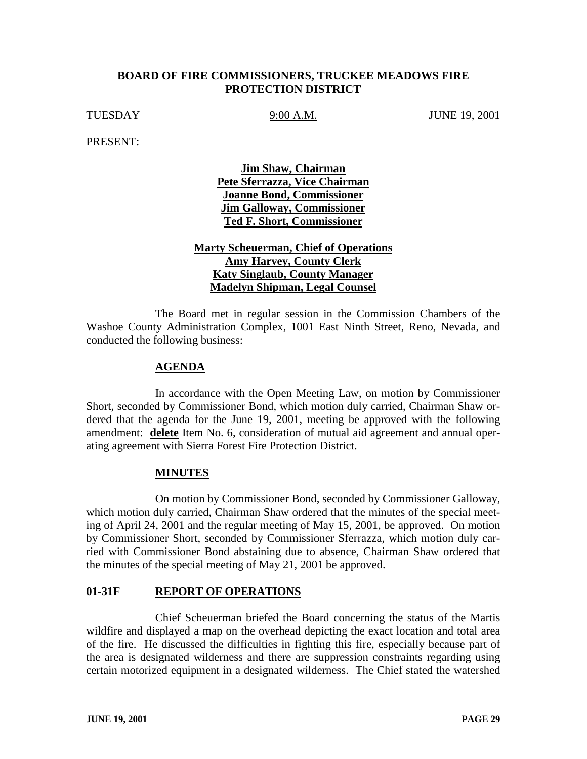## **BOARD OF FIRE COMMISSIONERS, TRUCKEE MEADOWS FIRE PROTECTION DISTRICT**

TUESDAY 9:00 A.M. JUNE 19, 2001

PRESENT:

**Jim Shaw, Chairman Pete Sferrazza, Vice Chairman Joanne Bond, Commissioner Jim Galloway, Commissioner Ted F. Short, Commissioner**

# **Marty Scheuerman, Chief of Operations Amy Harvey, County Clerk Katy Singlaub, County Manager Madelyn Shipman, Legal Counsel**

The Board met in regular session in the Commission Chambers of the Washoe County Administration Complex, 1001 East Ninth Street, Reno, Nevada, and conducted the following business:

### **AGENDA**

In accordance with the Open Meeting Law, on motion by Commissioner Short, seconded by Commissioner Bond, which motion duly carried, Chairman Shaw ordered that the agenda for the June 19, 2001, meeting be approved with the following amendment: **delete** Item No. 6, consideration of mutual aid agreement and annual operating agreement with Sierra Forest Fire Protection District.

#### **MINUTES**

On motion by Commissioner Bond, seconded by Commissioner Galloway, which motion duly carried, Chairman Shaw ordered that the minutes of the special meeting of April 24, 2001 and the regular meeting of May 15, 2001, be approved. On motion by Commissioner Short, seconded by Commissioner Sferrazza, which motion duly carried with Commissioner Bond abstaining due to absence, Chairman Shaw ordered that the minutes of the special meeting of May 21, 2001 be approved.

# **01-31F REPORT OF OPERATIONS**

Chief Scheuerman briefed the Board concerning the status of the Martis wildfire and displayed a map on the overhead depicting the exact location and total area of the fire. He discussed the difficulties in fighting this fire, especially because part of the area is designated wilderness and there are suppression constraints regarding using certain motorized equipment in a designated wilderness. The Chief stated the watershed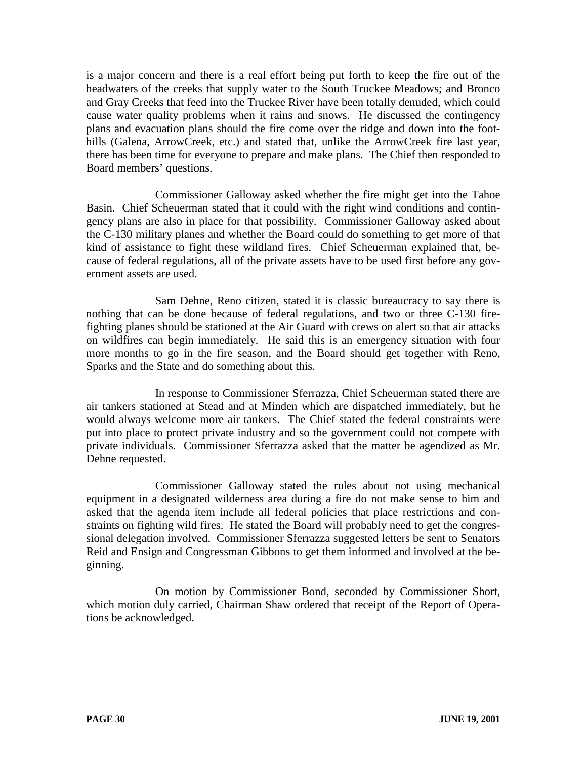is a major concern and there is a real effort being put forth to keep the fire out of the headwaters of the creeks that supply water to the South Truckee Meadows; and Bronco and Gray Creeks that feed into the Truckee River have been totally denuded, which could cause water quality problems when it rains and snows. He discussed the contingency plans and evacuation plans should the fire come over the ridge and down into the foothills (Galena, ArrowCreek, etc.) and stated that, unlike the ArrowCreek fire last year, there has been time for everyone to prepare and make plans. The Chief then responded to Board members' questions.

Commissioner Galloway asked whether the fire might get into the Tahoe Basin. Chief Scheuerman stated that it could with the right wind conditions and contingency plans are also in place for that possibility. Commissioner Galloway asked about the C-130 military planes and whether the Board could do something to get more of that kind of assistance to fight these wildland fires. Chief Scheuerman explained that, because of federal regulations, all of the private assets have to be used first before any government assets are used.

Sam Dehne, Reno citizen, stated it is classic bureaucracy to say there is nothing that can be done because of federal regulations, and two or three C-130 firefighting planes should be stationed at the Air Guard with crews on alert so that air attacks on wildfires can begin immediately. He said this is an emergency situation with four more months to go in the fire season, and the Board should get together with Reno, Sparks and the State and do something about this.

In response to Commissioner Sferrazza, Chief Scheuerman stated there are air tankers stationed at Stead and at Minden which are dispatched immediately, but he would always welcome more air tankers. The Chief stated the federal constraints were put into place to protect private industry and so the government could not compete with private individuals. Commissioner Sferrazza asked that the matter be agendized as Mr. Dehne requested.

Commissioner Galloway stated the rules about not using mechanical equipment in a designated wilderness area during a fire do not make sense to him and asked that the agenda item include all federal policies that place restrictions and constraints on fighting wild fires. He stated the Board will probably need to get the congressional delegation involved. Commissioner Sferrazza suggested letters be sent to Senators Reid and Ensign and Congressman Gibbons to get them informed and involved at the beginning.

On motion by Commissioner Bond, seconded by Commissioner Short, which motion duly carried, Chairman Shaw ordered that receipt of the Report of Operations be acknowledged.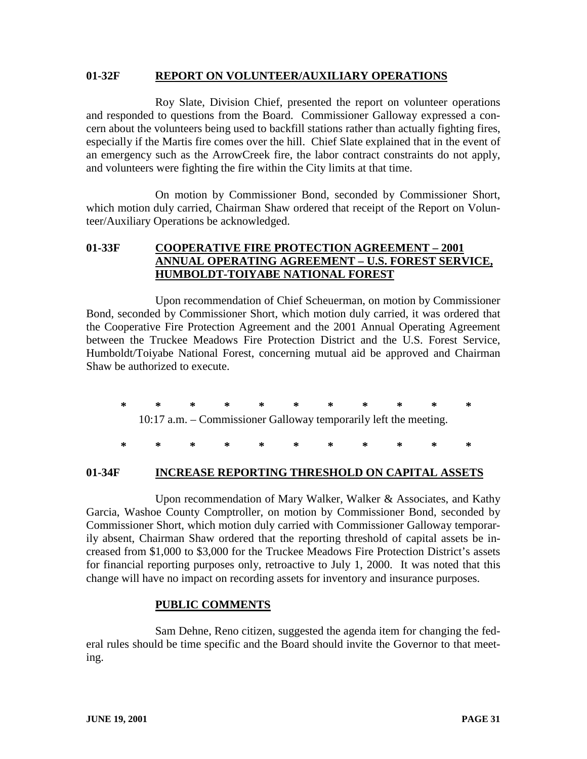#### **01-32F REPORT ON VOLUNTEER/AUXILIARY OPERATIONS**

Roy Slate, Division Chief, presented the report on volunteer operations and responded to questions from the Board. Commissioner Galloway expressed a concern about the volunteers being used to backfill stations rather than actually fighting fires, especially if the Martis fire comes over the hill. Chief Slate explained that in the event of an emergency such as the ArrowCreek fire, the labor contract constraints do not apply, and volunteers were fighting the fire within the City limits at that time.

On motion by Commissioner Bond, seconded by Commissioner Short, which motion duly carried, Chairman Shaw ordered that receipt of the Report on Volunteer/Auxiliary Operations be acknowledged.

# **01-33F COOPERATIVE FIRE PROTECTION AGREEMENT – 2001 ANNUAL OPERATING AGREEMENT – U.S. FOREST SERVICE, HUMBOLDT-TOIYABE NATIONAL FOREST**

Upon recommendation of Chief Scheuerman, on motion by Commissioner Bond, seconded by Commissioner Short, which motion duly carried, it was ordered that the Cooperative Fire Protection Agreement and the 2001 Annual Operating Agreement between the Truckee Meadows Fire Protection District and the U.S. Forest Service, Humboldt/Toiyabe National Forest, concerning mutual aid be approved and Chairman Shaw be authorized to execute.

**\*\*\*\*\*\*\*\*\*\*\*** 10:17 a.m. – Commissioner Galloway temporarily left the meeting.

**\*\*\*\*\*\*\*\*\*\*\***

#### **01-34F INCREASE REPORTING THRESHOLD ON CAPITAL ASSETS**

Upon recommendation of Mary Walker, Walker & Associates, and Kathy Garcia, Washoe County Comptroller, on motion by Commissioner Bond, seconded by Commissioner Short, which motion duly carried with Commissioner Galloway temporarily absent, Chairman Shaw ordered that the reporting threshold of capital assets be increased from \$1,000 to \$3,000 for the Truckee Meadows Fire Protection District's assets for financial reporting purposes only, retroactive to July 1, 2000. It was noted that this change will have no impact on recording assets for inventory and insurance purposes.

#### **PUBLIC COMMENTS**

Sam Dehne, Reno citizen, suggested the agenda item for changing the federal rules should be time specific and the Board should invite the Governor to that meeting.